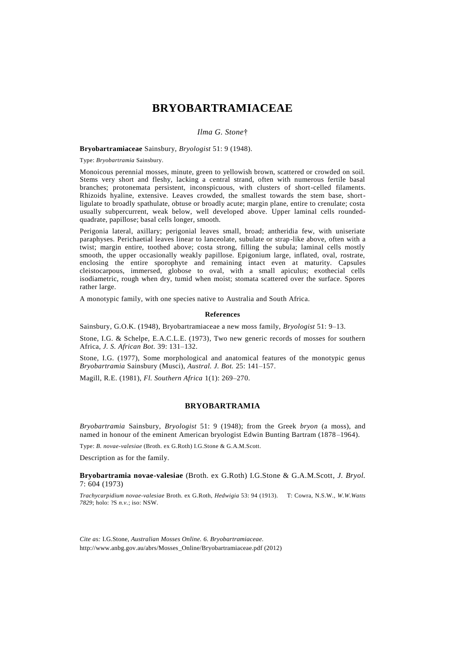# **BRYOBARTRAMIACEAE**

*Ilma G. Stone*†

#### **Bryobartramiaceae** Sainsbury, *Bryologist* 51: 9 (1948).

Type: *Bryobartramia* Sainsbury.

Monoicous perennial mosses, minute, green to yellowish brown, scattered or crowded on soil. Stems very short and fleshy, lacking a central strand, often with numerous fertile basal branches; protonemata persistent, inconspicuous, with clusters of short-celled filaments. Rhizoids hyaline, extensive. Leaves crowded, the smallest towards the stem base, shortligulate to broadly spathulate, obtuse or broadly acute; margin plane, entire to crenulate; costa usually subpercurrent, weak below, well developed above. Upper laminal cells roundedquadrate, papillose; basal cells longer, smooth.

Perigonia lateral, axillary; perigonial leaves small, broad; antheridia few, with uniseriate paraphyses. Perichaetial leaves linear to lanceolate, subulate or strap-like above, often with a twist; margin entire, toothed above; costa strong, filling the subula; laminal cells mostly smooth, the upper occasionally weakly papillose. Epigonium large, inflated, oval, rostrate, enclosing the entire sporophyte and remaining intact even at maturity. Capsules cleistocarpous, immersed, globose to oval, with a small apiculus; exothecial cells isodiametric, rough when dry, tumid when moist; stomata scattered over the surface. Spores rather large.

A monotypic family, with one species native to Australia and South Africa.

#### **References**

Sainsbury, G.O.K. (1948), Bryobartramiaceae a new moss family, *Bryologist* 51: 9–13.

Stone, I.G. & Schelpe, E.A.C.L.E. (1973), Two new generic records of mosses for southern Africa, *J. S. African Bot.* 39: 131–132.

Stone, I.G. (1977), Some morphological and anatomical features of the monotypic genus *Bryobartramia* Sainsbury (Musci), *Austral. J. Bot.* 25: 141–157.

Magill, R.E. (1981), *Fl. Southern Africa* 1(1): 269–270.

## **BRYOBARTRAMIA**

*Bryobartramia* Sainsbury, *Bryologist* 51: 9 (1948); from the Greek *bryon* (a moss), and named in honour of the eminent American bryologist Edwin Bunting Bartram (1878–1964).

Type: *B. novae-valesiae* (Broth. ex G.Roth) I.G.Stone & G.A.M.Scott.

Description as for the family.

### **Bryobartramia novae-valesiae** (Broth. ex G.Roth) I.G.Stone & G.A.M.Scott, *J. Bryol.* 7: 604 (1973)

*Trachycarpidium novae-valesiae* Broth. ex G.Roth, *Hedwigia* 53: 94 (1913). T: Cowra, N.S.W., *W.W.Watts 7829*; holo: ?S *n.v.*; iso: NSW.

*Cite as:* I.G.Stone, *Australian Mosses Online. 6. Bryobartramiaceae.* [http://www.anbg.gov.au/abrs/Mosses\\_](http://www.anbg.gov.au/abrs/Mosses)Online/Bryobartramiaceae.pdf (2012)